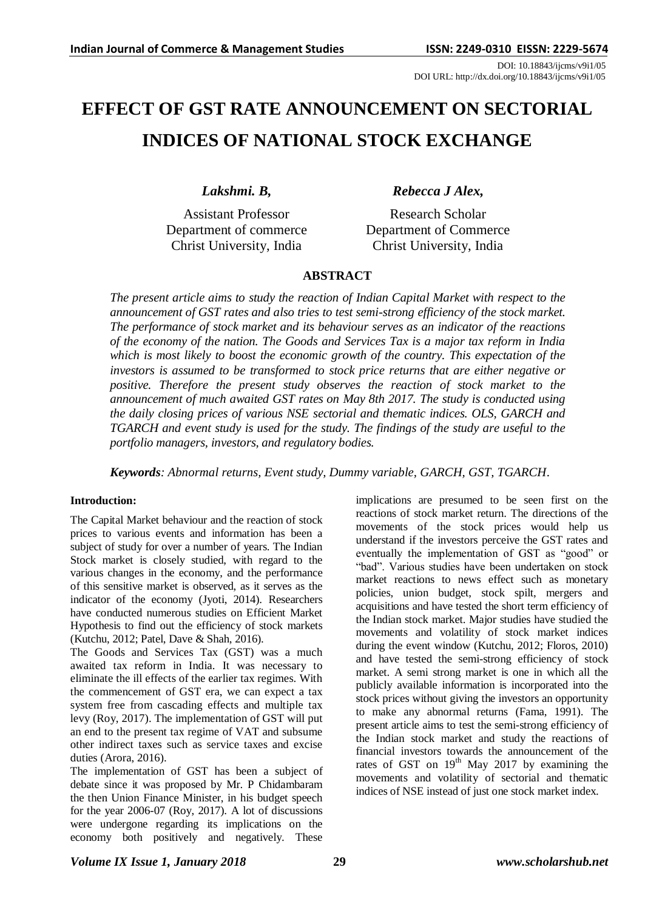DOI: 10.18843/ijcms/v9i1/05 DOI URL: http://dx.doi.org/10.18843/ijcms/v9i1/05

# **EFFECT OF GST RATE ANNOUNCEMENT ON SECTORIAL INDICES OF NATIONAL STOCK EXCHANGE**

*Lakshmi. B,*

Assistant Professor Department of commerce Christ University, India

*Rebecca J Alex,*

Research Scholar Department of Commerce Christ University, India

# **ABSTRACT**

*The present article aims to study the reaction of Indian Capital Market with respect to the announcement of GST rates and also tries to test semi-strong efficiency of the stock market. The performance of stock market and its behaviour serves as an indicator of the reactions of the economy of the nation. The Goods and Services Tax is a major tax reform in India which is most likely to boost the economic growth of the country. This expectation of the investors is assumed to be transformed to stock price returns that are either negative or positive. Therefore the present study observes the reaction of stock market to the announcement of much awaited GST rates on May 8th 2017. The study is conducted using the daily closing prices of various NSE sectorial and thematic indices. OLS, GARCH and TGARCH and event study is used for the study. The findings of the study are useful to the portfolio managers, investors, and regulatory bodies.*

*Keywords: Abnormal returns, Event study, Dummy variable, GARCH, GST, TGARCH.*

#### **Introduction:**

The Capital Market behaviour and the reaction of stock prices to various events and information has been a subject of study for over a number of years. The Indian Stock market is closely studied, with regard to the various changes in the economy, and the performance of this sensitive market is observed, as it serves as the indicator of the economy (Jyoti, 2014). Researchers have conducted numerous studies on Efficient Market Hypothesis to find out the efficiency of stock markets (Kutchu, 2012; Patel, Dave & Shah, 2016).

The Goods and Services Tax (GST) was a much awaited tax reform in India. It was necessary to eliminate the ill effects of the earlier tax regimes. With the commencement of GST era, we can expect a tax system free from cascading effects and multiple tax levy (Roy, 2017). The implementation of GST will put an end to the present tax regime of VAT and subsume other indirect taxes such as service taxes and excise duties (Arora, 2016).

The implementation of GST has been a subject of debate since it was proposed by Mr. P Chidambaram the then Union Finance Minister, in his budget speech for the year 2006-07 (Roy, 2017). A lot of discussions were undergone regarding its implications on the economy both positively and negatively. These

implications are presumed to be seen first on the reactions of stock market return. The directions of the movements of the stock prices would help us understand if the investors perceive the GST rates and eventually the implementation of GST as "good" or "bad". Various studies have been undertaken on stock market reactions to news effect such as monetary policies, union budget, stock spilt, mergers and acquisitions and have tested the short term efficiency of the Indian stock market. Major studies have studied the movements and volatility of stock market indices during the event window (Kutchu, 2012; Floros, 2010) and have tested the semi-strong efficiency of stock market. A semi strong market is one in which all the publicly available information is incorporated into the stock prices without giving the investors an opportunity to make any abnormal returns (Fama, 1991). The present article aims to test the semi-strong efficiency of the Indian stock market and study the reactions of financial investors towards the announcement of the rates of GST on 19<sup>th</sup> May 2017 by examining the movements and volatility of sectorial and thematic indices of NSE instead of just one stock market index.

### *Volume IX Issue 1, January 2018* **29** *www.scholarshub.net*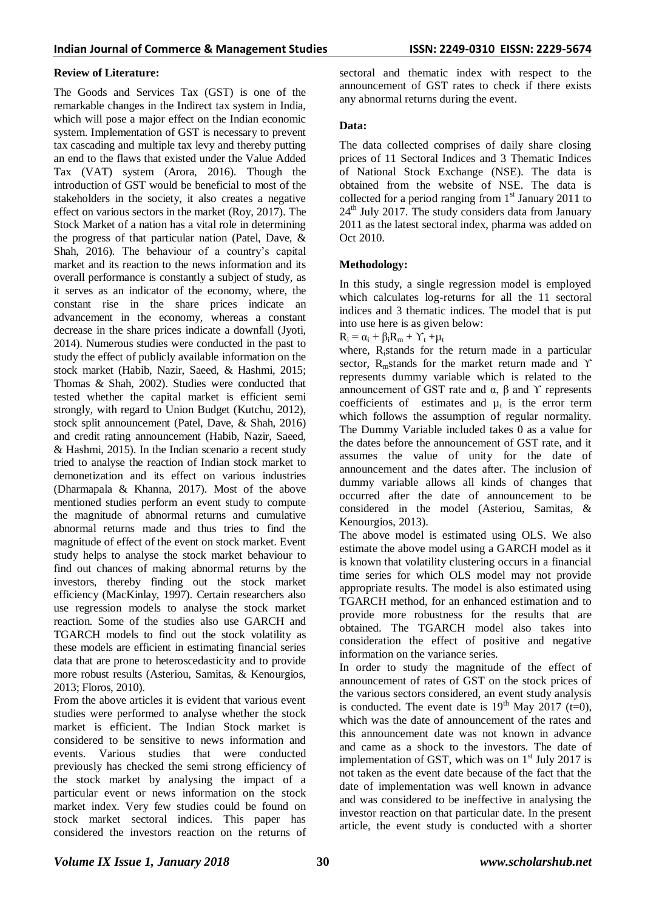#### **Review of Literature:**

The Goods and Services Tax (GST) is one of the remarkable changes in the Indirect tax system in India, which will pose a major effect on the Indian economic system. Implementation of GST is necessary to prevent tax cascading and multiple tax levy and thereby putting an end to the flaws that existed under the Value Added Tax (VAT) system (Arora, 2016). Though the introduction of GST would be beneficial to most of the stakeholders in the society, it also creates a negative effect on various sectors in the market (Roy, 2017). The Stock Market of a nation has a vital role in determining the progress of that particular nation (Patel, Dave, & Shah, 2016). The behaviour of a country's capital market and its reaction to the news information and its overall performance is constantly a subject of study, as it serves as an indicator of the economy, where, the constant rise in the share prices indicate an advancement in the economy, whereas a constant decrease in the share prices indicate a downfall (Jyoti, 2014). Numerous studies were conducted in the past to study the effect of publicly available information on the stock market (Habib, Nazir, Saeed, & Hashmi, 2015; Thomas & Shah, 2002). Studies were conducted that tested whether the capital market is efficient semi strongly, with regard to Union Budget (Kutchu, 2012), stock split announcement (Patel, Dave, & Shah, 2016) and credit rating announcement (Habib, Nazir, Saeed, & Hashmi, 2015). In the Indian scenario a recent study tried to analyse the reaction of Indian stock market to demonetization and its effect on various industries (Dharmapala & Khanna, 2017). Most of the above mentioned studies perform an event study to compute the magnitude of abnormal returns and cumulative abnormal returns made and thus tries to find the magnitude of effect of the event on stock market. Event study helps to analyse the stock market behaviour to find out chances of making abnormal returns by the investors, thereby finding out the stock market efficiency (MacKinlay, 1997). Certain researchers also use regression models to analyse the stock market reaction. Some of the studies also use GARCH and TGARCH models to find out the stock volatility as these models are efficient in estimating financial series data that are prone to heteroscedasticity and to provide more robust results (Asteriou, Samitas, & Kenourgios, 2013; Floros, 2010).

From the above articles it is evident that various event studies were performed to analyse whether the stock market is efficient. The Indian Stock market is considered to be sensitive to news information and events. Various studies that were conducted previously has checked the semi strong efficiency of the stock market by analysing the impact of a particular event or news information on the stock market index. Very few studies could be found on stock market sectoral indices. This paper has considered the investors reaction on the returns of sectoral and thematic index with respect to the announcement of GST rates to check if there exists any abnormal returns during the event.

#### **Data:**

The data collected comprises of daily share closing prices of 11 Sectoral Indices and 3 Thematic Indices of National Stock Exchange (NSE). The data is obtained from the website of NSE. The data is collected for a period ranging from  $1<sup>st</sup>$  January 2011 to  $24<sup>th</sup>$  July 2017. The study considers data from January 2011 as the latest sectoral index, pharma was added on Oct 2010.

# **Methodology:**

In this study, a single regression model is employed which calculates log-returns for all the 11 sectoral indices and 3 thematic indices. The model that is put into use here is as given below:

 $R_i = \alpha_i + \beta_i R_m + \Upsilon_t + \mu_t$ 

where, Ristands for the return made in a particular sector, R<sub>m</sub>stands for the market return made and Υ represents dummy variable which is related to the announcement of GST rate and  $\alpha$ ,  $\beta$  and  $\gamma$  represents coefficients of estimates and  $\mu_t$  is the error term which follows the assumption of regular normality. The Dummy Variable included takes 0 as a value for the dates before the announcement of GST rate, and it assumes the value of unity for the date of announcement and the dates after. The inclusion of dummy variable allows all kinds of changes that occurred after the date of announcement to be considered in the model (Asteriou, Samitas, & Kenourgios, 2013).

The above model is estimated using OLS. We also estimate the above model using a GARCH model as it is known that volatility clustering occurs in a financial time series for which OLS model may not provide appropriate results. The model is also estimated using TGARCH method, for an enhanced estimation and to provide more robustness for the results that are obtained. The TGARCH model also takes into consideration the effect of positive and negative information on the variance series.

In order to study the magnitude of the effect of announcement of rates of GST on the stock prices of the various sectors considered, an event study analysis is conducted. The event date is  $19<sup>th</sup>$  May 2017 (t=0), which was the date of announcement of the rates and this announcement date was not known in advance and came as a shock to the investors. The date of implementation of GST, which was on  $1<sup>st</sup>$  July 2017 is not taken as the event date because of the fact that the date of implementation was well known in advance and was considered to be ineffective in analysing the investor reaction on that particular date. In the present article, the event study is conducted with a shorter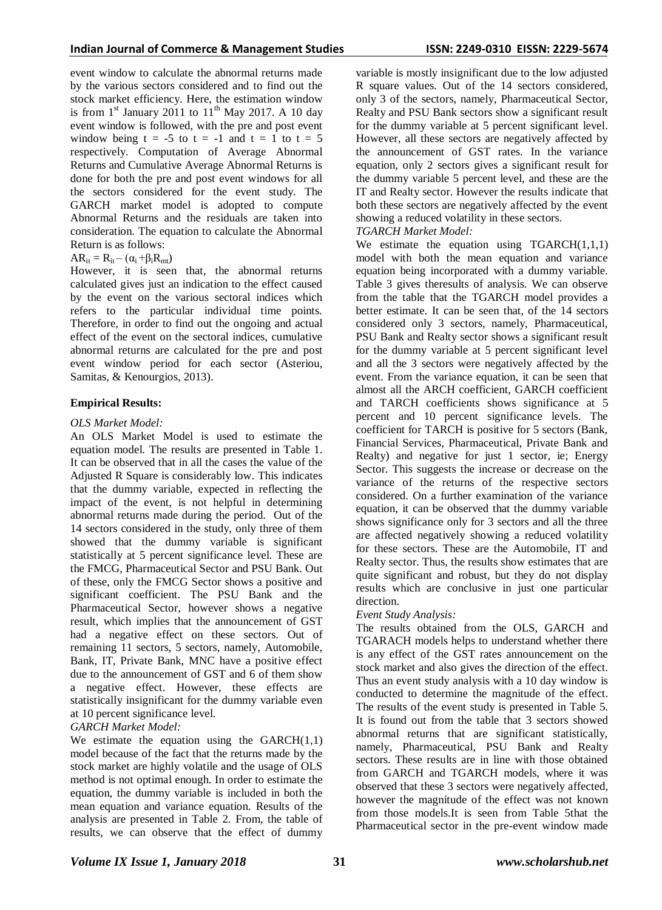event window to calculate the abnormal returns made by the various sectors considered and to find out the stock market efficiency. Here, the estimation window is from  $1<sup>st</sup>$  January 2011 to  $11<sup>th</sup>$  May 2017. A 10 day event window is followed, with the pre and post event window being  $t = -5$  to  $t = -1$  and  $t = 1$  to  $t = 5$ respectively. Computation of Average Abnormal Returns and Cumulative Average Abnormal Returns is done for both the pre and post event windows for all the sectors considered for the event study. The GARCH market model is adopted to compute Abnormal Returns and the residuals are taken into consideration. The equation to calculate the Abnormal Return is as follows:

# $AR_{it} = R_{it} - (\alpha_i + \beta_i R_{mt})$

However, it is seen that, the abnormal returns calculated gives just an indication to the effect caused by the event on the various sectoral indices which refers to the particular individual time points. Therefore, in order to find out the ongoing and actual effect of the event on the sectoral indices, cumulative abnormal returns are calculated for the pre and post event window period for each sector (Asteriou, Samitas, & Kenourgios, 2013).

#### **Empirical Results:**

#### *OLS Market Model:*

An OLS Market Model is used to estimate the equation model. The results are presented in Table 1. It can be observed that in all the cases the value of the Adjusted R Square is considerably low. This indicates that the dummy variable, expected in reflecting the impact of the event, is not helpful in determining abnormal returns made during the period. Out of the 14 sectors considered in the study, only three of them showed that the dummy variable is significant statistically at 5 percent significance level. These are the FMCG, Pharmaceutical Sector and PSU Bank. Out of these, only the FMCG Sector shows a positive and significant coefficient. The PSU Bank and the Pharmaceutical Sector, however shows a negative result, which implies that the announcement of GST had a negative effect on these sectors. Out of remaining 11 sectors, 5 sectors, namely, Automobile, Bank, IT, Private Bank, MNC have a positive effect due to the announcement of GST and 6 of them show a negative effect. However, these effects are statistically insignificant for the dummy variable even at 10 percent significance level.

#### *GARCH Market Model:*

We estimate the equation using the  $GARCH(1,1)$ model because of the fact that the returns made by the stock market are highly volatile and the usage of OLS method is not optimal enough. In order to estimate the equation, the dummy variable is included in both the mean equation and variance equation. Results of the analysis are presented in Table 2. From, the table of results, we can observe that the effect of dummy variable is mostly insignificant due to the low adjusted R square values. Out of the 14 sectors considered, only 3 of the sectors, namely, Pharmaceutical Sector, Realty and PSU Bank sectors show a significant result for the dummy variable at 5 percent significant level. However, all these sectors are negatively affected by the announcement of GST rates. In the variance equation, only 2 sectors gives a significant result for the dummy variable 5 percent level, and these are the IT and Realty sector. However the results indicate that both these sectors are negatively affected by the event showing a reduced volatility in these sectors.

#### *TGARCH Market Model:*

We estimate the equation using  $TGARCH(1,1,1)$ model with both the mean equation and variance equation being incorporated with a dummy variable. Table 3 gives theresults of analysis. We can observe from the table that the TGARCH model provides a better estimate. It can be seen that, of the 14 sectors considered only 3 sectors, namely, Pharmaceutical, PSU Bank and Realty sector shows a significant result for the dummy variable at 5 percent significant level and all the 3 sectors were negatively affected by the event. From the variance equation, it can be seen that almost all the ARCH coefficient, GARCH coefficient and TARCH coefficients shows significance at 5 percent and 10 percent significance levels. The coefficient for TARCH is positive for 5 sectors (Bank, Financial Services, Pharmaceutical, Private Bank and Realty) and negative for just 1 sector, ie; Energy Sector. This suggests the increase or decrease on the variance of the returns of the respective sectors considered. On a further examination of the variance equation, it can be observed that the dummy variable shows significance only for 3 sectors and all the three are affected negatively showing a reduced volatility for these sectors. These are the Automobile, IT and Realty sector. Thus, the results show estimates that are quite significant and robust, but they do not display results which are conclusive in just one particular direction.

#### *Event Study Analysis:*

The results obtained from the OLS, GARCH and TGARACH models helps to understand whether there is any effect of the GST rates announcement on the stock market and also gives the direction of the effect. Thus an event study analysis with a 10 day window is conducted to determine the magnitude of the effect. The results of the event study is presented in Table 5. It is found out from the table that 3 sectors showed abnormal returns that are significant statistically, namely, Pharmaceutical, PSU Bank and Realty sectors. These results are in line with those obtained from GARCH and TGARCH models, where it was observed that these 3 sectors were negatively affected, however the magnitude of the effect was not known from those models.It is seen from Table 5that the Pharmaceutical sector in the pre-event window made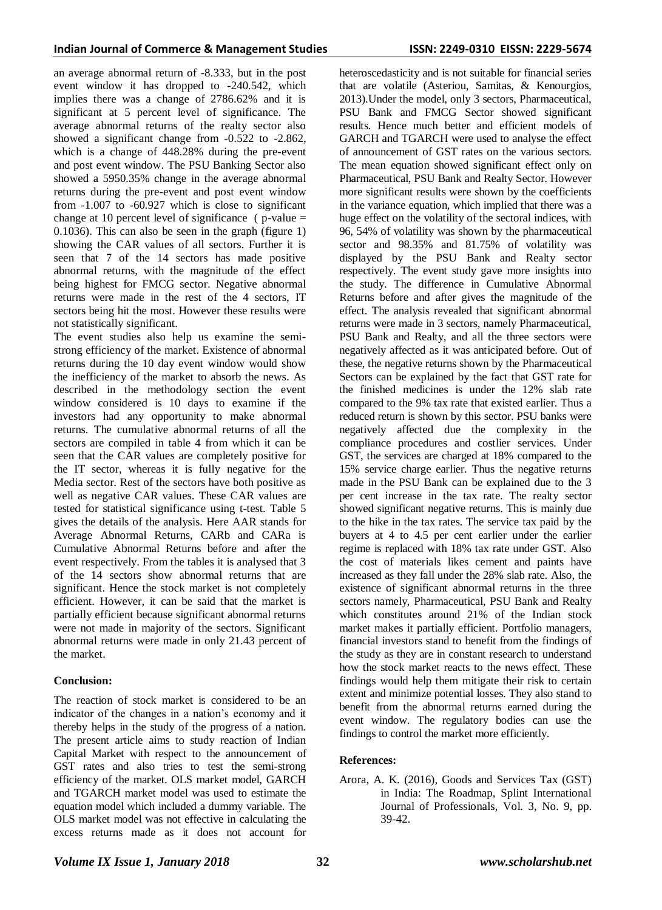an average abnormal return of -8.333, but in the post event window it has dropped to -240.542, which implies there was a change of 2786.62% and it is significant at 5 percent level of significance. The average abnormal returns of the realty sector also showed a significant change from -0.522 to -2.862, which is a change of 448.28% during the pre-event and post event window. The PSU Banking Sector also showed a 5950.35% change in the average abnormal returns during the pre-event and post event window from -1.007 to -60.927 which is close to significant change at 10 percent level of significance ( $p$ -value = 0.1036). This can also be seen in the graph (figure 1) showing the CAR values of all sectors. Further it is seen that 7 of the 14 sectors has made positive abnormal returns, with the magnitude of the effect being highest for FMCG sector. Negative abnormal returns were made in the rest of the 4 sectors, IT sectors being hit the most. However these results were not statistically significant.

The event studies also help us examine the semistrong efficiency of the market. Existence of abnormal returns during the 10 day event window would show the inefficiency of the market to absorb the news. As described in the methodology section the event window considered is 10 days to examine if the investors had any opportunity to make abnormal returns. The cumulative abnormal returns of all the sectors are compiled in table 4 from which it can be seen that the CAR values are completely positive for the IT sector, whereas it is fully negative for the Media sector. Rest of the sectors have both positive as well as negative CAR values. These CAR values are tested for statistical significance using t-test. Table 5 gives the details of the analysis. Here AAR stands for Average Abnormal Returns, CARb and CARa is Cumulative Abnormal Returns before and after the event respectively. From the tables it is analysed that 3 of the 14 sectors show abnormal returns that are significant. Hence the stock market is not completely efficient. However, it can be said that the market is partially efficient because significant abnormal returns were not made in majority of the sectors. Significant abnormal returns were made in only 21.43 percent of the market.

#### **Conclusion:**

The reaction of stock market is considered to be an indicator of the changes in a nation's economy and it thereby helps in the study of the progress of a nation. The present article aims to study reaction of Indian Capital Market with respect to the announcement of GST rates and also tries to test the semi-strong efficiency of the market. OLS market model, GARCH and TGARCH market model was used to estimate the equation model which included a dummy variable. The OLS market model was not effective in calculating the excess returns made as it does not account for

heteroscedasticity and is not suitable for financial series that are volatile (Asteriou, Samitas, & Kenourgios, 2013).Under the model, only 3 sectors, Pharmaceutical, PSU Bank and FMCG Sector showed significant results. Hence much better and efficient models of GARCH and TGARCH were used to analyse the effect of announcement of GST rates on the various sectors. The mean equation showed significant effect only on Pharmaceutical, PSU Bank and Realty Sector. However more significant results were shown by the coefficients in the variance equation, which implied that there was a huge effect on the volatility of the sectoral indices, with 96, 54% of volatility was shown by the pharmaceutical sector and 98.35% and 81.75% of volatility was displayed by the PSU Bank and Realty sector respectively. The event study gave more insights into the study. The difference in Cumulative Abnormal Returns before and after gives the magnitude of the effect. The analysis revealed that significant abnormal returns were made in 3 sectors, namely Pharmaceutical, PSU Bank and Realty, and all the three sectors were negatively affected as it was anticipated before. Out of these, the negative returns shown by the Pharmaceutical Sectors can be explained by the fact that GST rate for the finished medicines is under the 12% slab rate compared to the 9% tax rate that existed earlier. Thus a reduced return is shown by this sector. PSU banks were negatively affected due the complexity in the compliance procedures and costlier services. Under GST, the services are charged at 18% compared to the 15% service charge earlier. Thus the negative returns made in the PSU Bank can be explained due to the 3 per cent increase in the tax rate. The realty sector showed significant negative returns. This is mainly due to the hike in the tax rates. The service tax paid by the buyers at 4 to 4.5 per cent earlier under the earlier regime is replaced with 18% tax rate under GST. Also the cost of materials likes cement and paints have increased as they fall under the 28% slab rate. Also, the existence of significant abnormal returns in the three sectors namely, Pharmaceutical, PSU Bank and Realty which constitutes around 21% of the Indian stock market makes it partially efficient. Portfolio managers, financial investors stand to benefit from the findings of the study as they are in constant research to understand how the stock market reacts to the news effect. These findings would help them mitigate their risk to certain extent and minimize potential losses. They also stand to benefit from the abnormal returns earned during the event window. The regulatory bodies can use the findings to control the market more efficiently.

#### **References:**

Arora, A. K. (2016), Goods and Services Tax (GST) in India: The Roadmap, Splint International Journal of Professionals, Vol. 3, No. 9, pp. 39-42.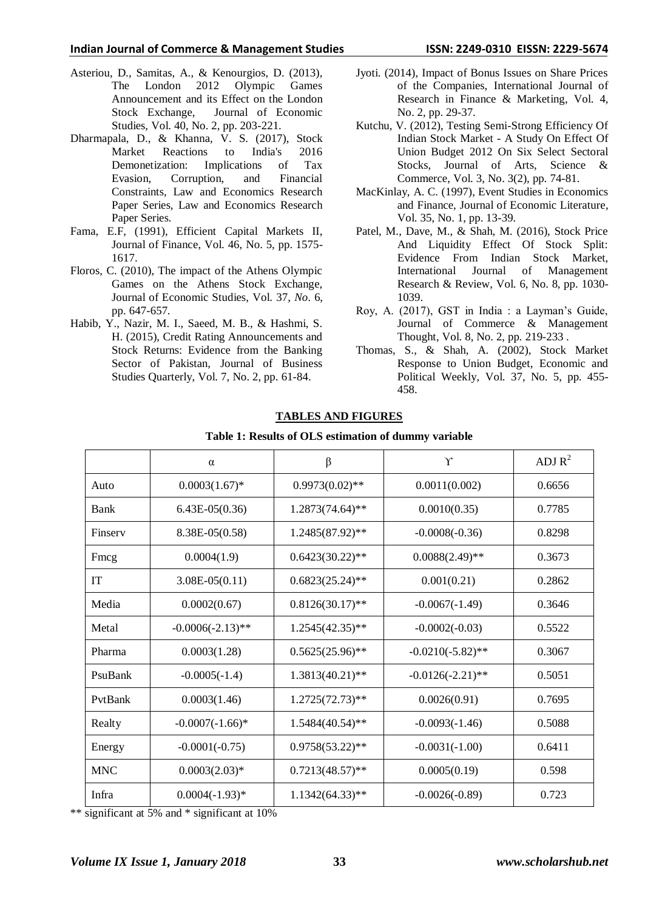#### **Indian Journal of Commerce & Management Studies ISSN: 2249-0310 EISSN: 2229-5674**

- Asteriou, D., Samitas, A., & Kenourgios, D. (2013), The London 2012 Olympic Games Announcement and its Effect on the London Stock Exchange, Journal of Economic Studies, Vol. 40, No. 2, pp. 203-221.
- Dharmapala, D., & Khanna, V. S. (2017), Stock Market Reactions to India's 2016 Demonetization: Implications of Tax Evasion, Corruption, and Financial Constraints, Law and Economics Research Paper Series, Law and Economics Research Paper Series.
- Fama, E.F, (1991), Efficient Capital Markets II, Journal of Finance, Vol. 46, No. 5, pp. 1575- 1617.
- Floros, C. (2010), The impact of the Athens Olympic Games on the Athens Stock Exchange, Journal of Economic Studies, Vol. 37, *No*. 6, pp. 647-657.
- Habib, Y., Nazir, M. I., Saeed, M. B., & Hashmi, S. H. (2015), Credit Rating Announcements and Stock Returns: Evidence from the Banking Sector of Pakistan, Journal of Business Studies Quarterly, Vol. 7, No. 2, pp. 61-84.
- Jyoti. (2014), Impact of Bonus Issues on Share Prices of the Companies, International Journal of Research in Finance & Marketing, Vol. 4, No. 2, pp. 29-37.
- Kutchu, V. (2012), Testing Semi-Strong Efficiency Of Indian Stock Market - A Study On Effect Of Union Budget 2012 On Six Select Sectoral Stocks, Journal of Arts, Science & Commerce, Vol. 3, No. 3(2), pp. 74-81.
- MacKinlay, A. C. (1997), Event Studies in Economics and Finance, Journal of Economic Literature, Vol. 35, No. 1, pp. 13-39.
- Patel, M., Dave, M., & Shah, M. (2016), Stock Price And Liquidity Effect Of Stock Split: Evidence From Indian Stock Market, International Journal of Management Research & Review, Vol. 6, No. 8, pp. 1030- 1039.
- Roy, A. (2017), GST in India : a Layman's Guide, Journal of Commerce & Management Thought, Vol. 8, No. 2, pp. 219-233 .
- Thomas, S., & Shah, A. (2002), Stock Market Response to Union Budget, Economic and Political Weekly, Vol. 37, No. 5, pp. 455- 458.

| Table 1: Results of OLS estimation of dummy variable |                     |                    |                     |           |  |  |  |  |  |
|------------------------------------------------------|---------------------|--------------------|---------------------|-----------|--|--|--|--|--|
|                                                      | $\alpha$            | $\beta$            | $\Upsilon$          | ADJ $R^2$ |  |  |  |  |  |
| Auto                                                 | $0.0003(1.67)$ *    | $0.9973(0.02)$ **  | 0.0011(0.002)       | 0.6656    |  |  |  |  |  |
| Bank                                                 | $6.43E-05(0.36)$    | 1.2873(74.64)**    | 0.0010(0.35)        | 0.7785    |  |  |  |  |  |
| Finsery                                              | 8.38E-05(0.58)      | $1.2485(87.92)$ ** | $-0.0008(-0.36)$    | 0.8298    |  |  |  |  |  |
| Fmcg                                                 | 0.0004(1.9)         | $0.6423(30.22)$ ** | $0.0088(2.49)$ **   | 0.3673    |  |  |  |  |  |
| <b>IT</b>                                            | $3.08E-05(0.11)$    | $0.6823(25.24)$ ** | 0.001(0.21)         | 0.2862    |  |  |  |  |  |
| Media                                                | 0.0002(0.67)        | $0.8126(30.17)$ ** | $-0.0067(-1.49)$    | 0.3646    |  |  |  |  |  |
| Metal                                                | $-0.0006(-2.13)$ ** | $1.2545(42.35)$ ** | $-0.0002(-0.03)$    | 0.5522    |  |  |  |  |  |
| Pharma                                               | 0.0003(1.28)        | $0.5625(25.96)$ ** | $-0.0210(-5.82)$ ** | 0.3067    |  |  |  |  |  |
| PsuBank                                              | $-0.0005(-1.4)$     | $1.3813(40.21)$ ** | $-0.0126(-2.21)$ ** | 0.5051    |  |  |  |  |  |
| PytBank                                              | 0.0003(1.46)        | $1.2725(72.73)$ ** | 0.0026(0.91)        | 0.7695    |  |  |  |  |  |
| Realty                                               | $-0.0007(-1.66)$ *  | $1.5484(40.54)$ ** | $-0.0093(-1.46)$    | 0.5088    |  |  |  |  |  |
| Energy                                               | $-0.0001(-0.75)$    | $0.9758(53.22)$ ** | $-0.0031(-1.00)$    | 0.6411    |  |  |  |  |  |
| <b>MNC</b>                                           | $0.0003(2.03)*$     | $0.7213(48.57)$ ** | 0.0005(0.19)        | 0.598     |  |  |  |  |  |
| Infra                                                | $0.0004(-1.93)*$    | $1.1342(64.33)$ ** | $-0.0026(-0.89)$    | 0.723     |  |  |  |  |  |

### **TABLES AND FIGURES**

\*\* significant at 5% and \* significant at 10%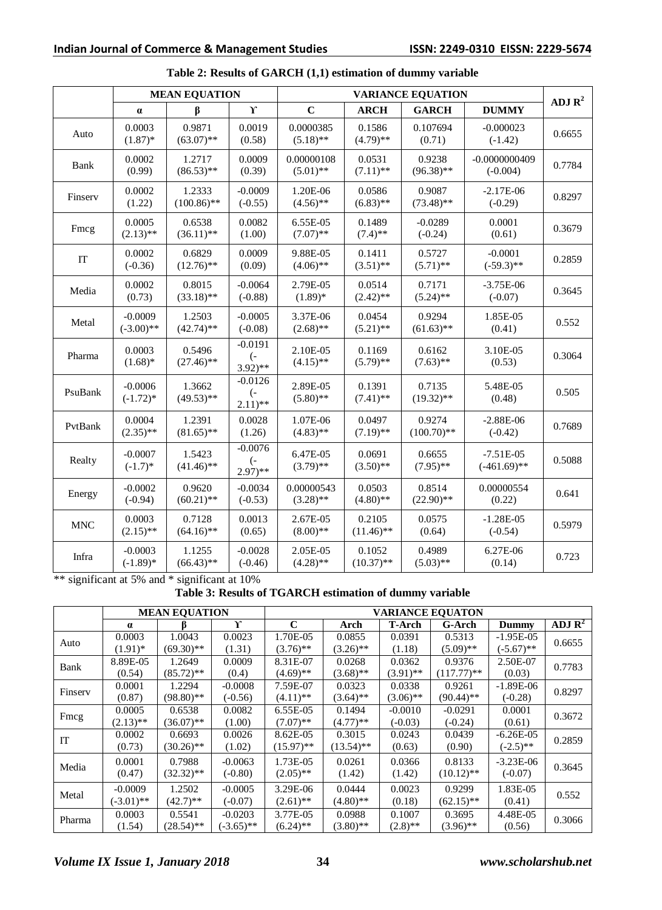|            |                           | <b>MEAN EQUATION</b>    |                                                       |                           |                        |                         |                               |                    |
|------------|---------------------------|-------------------------|-------------------------------------------------------|---------------------------|------------------------|-------------------------|-------------------------------|--------------------|
|            | $\alpha$                  | β                       | $\mathbf{r}$                                          | $\mathbf C$               | <b>ARCH</b>            | <b>GARCH</b>            | <b>DUMMY</b>                  | ADJ $\mathbb{R}^2$ |
| Auto       | 0.0003<br>$(1.87)$ *      | 0.9871<br>$(63.07)$ **  | 0.0019<br>(0.58)                                      | 0.0000385<br>$(5.18)$ **  | 0.1586<br>$(4.79)$ **  | 0.107694<br>(0.71)      | $-0.000023$<br>$(-1.42)$      | 0.6655             |
| Bank       | 0.0002<br>(0.99)          | 1.2717<br>$(86.53)$ **  | 0.0009<br>(0.39)                                      | 0.00000108<br>$(5.01)$ ** | 0.0531<br>$(7.11)$ **  | 0.9238<br>$(96.38)$ **  | $-0.0000000409$<br>$(-0.004)$ | 0.7784             |
| Finserv    | 0.0002<br>(1.22)          | 1.2333<br>$(100.86)$ ** | $-0.0009$<br>$(-0.55)$                                | 1.20E-06<br>$(4.56)$ **   | 0.0586<br>$(6.83)$ **  | 0.9087<br>$(73.48)$ **  | $-2.17E-06$<br>$(-0.29)$      | 0.8297             |
| Fmcg       | 0.0005<br>$(2.13)$ **     | 0.6538<br>$(36.11)$ **  | 0.0082<br>(1.00)                                      | 6.55E-05<br>$(7.07)$ **   | 0.1489<br>$(7.4)$ **   | $-0.0289$<br>$(-0.24)$  | 0.0001<br>(0.61)              | 0.3679             |
| IT         | 0.0002<br>$(-0.36)$       | 0.6829<br>$(12.76)$ **  | 0.0009<br>(0.09)                                      | 9.88E-05<br>$(4.06)$ **   | 0.1411<br>$(3.51)$ **  | 0.5727<br>$(5.71)$ **   | $-0.0001$<br>$(-59.3)$ **     | 0.2859             |
| Media      | 0.0002<br>(0.73)          | 0.8015<br>$(33.18)$ **  | $-0.0064$<br>$(-0.88)$                                | 2.79E-05<br>$(1.89)*$     | 0.0514<br>$(2.42)$ **  | 0.7171<br>$(5.24)$ **   | $-3.75E-06$<br>$(-0.07)$      | 0.3645             |
| Metal      | $-0.0009$<br>$(-3.00)$ ** | 1.2503<br>$(42.74)$ **  | $-0.0005$<br>$(-0.08)$                                | 3.37E-06<br>$(2.68)$ **   | 0.0454<br>$(5.21)$ **  | 0.9294<br>$(61.63)$ **  | 1.85E-05<br>(0.41)            | 0.552              |
| Pharma     | 0.0003<br>$(1.68)$ *      | 0.5496<br>$(27.46)$ **  | $-0.0191$<br>$\overline{(-)}$<br>$(3.92)$ **          | 2.10E-05<br>$(4.15)$ **   | 0.1169<br>$(5.79)$ **  | 0.6162<br>$(7.63)$ **   | 3.10E-05<br>(0.53)            | 0.3064             |
| PsuBank    | $-0.0006$<br>$(-1.72)*$   | 1.3662<br>$(49.53)$ **  | $-0.0126$<br>$\overline{(-)}$<br>$(2.11)$ **          | 2.89E-05<br>$(5.80)$ **   | 0.1391<br>$(7.41)$ **  | 0.7135<br>$(19.32)$ **  | 5.48E-05<br>(0.48)            | 0.505              |
| PvtBank    | 0.0004<br>$(2.35)$ **     | 1.2391<br>$(81.65)$ **  | 0.0028<br>(1.26)                                      | 1.07E-06<br>$(4.83)$ **   | 0.0497<br>$(7.19)$ **  | 0.9274<br>$(100.70)$ ** | $-2.88E-06$<br>$(-0.42)$      | 0.7689             |
| Realty     | $-0.0007$<br>$(-1.7)$ *   | 1.5423<br>$(41.46)$ **  | $-0.0076$<br>$\overline{(-)}$<br>$2.97$ <sup>**</sup> | 6.47E-05<br>$(3.79)$ **   | 0.0691<br>$(3.50)$ **  | 0.6655<br>$(7.95)$ **   | $-7.51E-05$<br>$(-461.69)$ ** | 0.5088             |
| Energy     | $-0.0002$<br>$(-0.94)$    | 0.9620<br>$(60.21)$ **  | $-0.0034$<br>$(-0.53)$                                | 0.00000543<br>$(3.28)$ ** | 0.0503<br>$(4.80)$ **  | 0.8514<br>$(22.90)$ **  | 0.00000554<br>(0.22)          | 0.641              |
| <b>MNC</b> | 0.0003<br>$(2.15)$ **     | 0.7128<br>$(64.16)$ **  | 0.0013<br>(0.65)                                      | 2.67E-05<br>$(8.00)$ **   | 0.2105<br>$(11.46)$ ** | 0.0575<br>(0.64)        | $-1.28E-05$<br>$(-0.54)$      | 0.5979             |
| Infra      | $-0.0003$<br>$(-1.89)$ *  | 1.1255<br>$(66.43)$ **  | $-0.0028$<br>$(-0.46)$                                | 2.05E-05<br>$(4.28)$ **   | 0.1052<br>$(10.37)$ ** | 0.4989<br>$(5.03)$ **   | 6.27E-06<br>(0.14)            | 0.723              |

# **Table 2: Results of GARCH (1,1) estimation of dummy variable**

\*\* significant at 5% and \* significant at 10%

**Table 3: Results of TGARCH estimation of dummy variable**

|         |              | <b>MEAN EQUATION</b> |              | <b>VARIANCE EQUATON</b> |              |             |              |              |                               |  |  |
|---------|--------------|----------------------|--------------|-------------------------|--------------|-------------|--------------|--------------|-------------------------------|--|--|
|         | $\alpha$     |                      | Y            | $\mathbf C$             | Arch         | T-Arch      | G-Arch       | Dummy        | ADJ $\overline{\mathbf{R}^2}$ |  |  |
| Auto    | 0.0003       | 1.0043               | 0.0023       | 1.70E-05                | 0.0855       | 0.0391      | 0.5313       | $-1.95E-05$  | 0.6655                        |  |  |
|         | $(1.91)$ *   | $(69.30)**$          | (1.31)       | $(3.76)$ **             | $(3.26)$ **  | (1.18)      | $(5.09)$ **  | $(-5.67)$ ** |                               |  |  |
| Bank    | 8.89E-05     | 1.2649               | 0.0009       | 8.31E-07                | 0.0268       | 0.0362      | 0.9376       | 2.50E-07     | 0.7783                        |  |  |
|         | (0.54)       | $(85.72)$ **         | (0.4)        | $(4.69)$ **             | $(3.68)$ **  | $(3.91)$ ** | $(117.77)**$ | (0.03)       |                               |  |  |
| Finserv | 0.0001       | 1.2294               | $-0.0008$    | 7.59E-07                | 0.0323       | 0.0338      | 0.9261       | $-1.89E-06$  | 0.8297                        |  |  |
|         | (0.87)       | $(98.80)$ **         | $(-0.56)$    | $(4.11)$ **             | $(3.64)$ **  | $(3.06)$ ** | $(90.44)$ ** | $(-0.28)$    |                               |  |  |
|         | 0.0005       | 0.6538               | 0.0082       | 6.55E-05                | 0.1494       | $-0.0010$   | $-0.0291$    | 0.0001       | 0.3672                        |  |  |
| Fmcg    | $(2.13)$ **  | $(36.07)$ **         | (1.00)       | $(7.07)$ **             | $(4.77)**$   | $(-0.03)$   | $(-0.24)$    | (0.61)       |                               |  |  |
| IT      | 0.0002       | 0.6693               | 0.0026       | 8.62E-05                | 0.3015       | 0.0243      | 0.0439       | $-6.26E-05$  | 0.2859                        |  |  |
|         | (0.73)       | $(30.26)$ **         | (1.02)       | $(15.97)$ **            | $(13.54)$ ** | (0.63)      | (0.90)       | $(-2.5)$ **  |                               |  |  |
|         | 0.0001       | 0.7988               | $-0.0063$    | 1.73E-05                | 0.0261       | 0.0366      | 0.8133       | $-3.23E-06$  |                               |  |  |
| Media   | (0.47)       | $(32.32)$ **         | $(-0.80)$    | $(2.05)$ **             | (1.42)       | (1.42)      | $(10.12)$ ** | $(-0.07)$    | 0.3645                        |  |  |
|         | $-0.0009$    | 1.2502               | $-0.0005$    | 3.29E-06                | 0.0444       | 0.0023      | 0.9299       | 1.83E-05     |                               |  |  |
| Metal   | $(-3.01)$ ** | $(42.7)$ **          | $(-0.07)$    | $(2.61)$ **             | $(4.80)$ **  | (0.18)      | $(62.15)$ ** | (0.41)       | 0.552                         |  |  |
|         | 0.0003       | 0.5541               | $-0.0203$    | 3.77E-05                | 0.0988       | 0.1007      | 0.3695       | 4.48E-05     |                               |  |  |
| Pharma  | (1.54)       | $(28.54)$ **         | $(-3.65)$ ** | $(6.24)$ **             | $(3.80)$ **  | $(2.8)$ **  | $(3.96)$ **  | (0.56)       | 0.3066                        |  |  |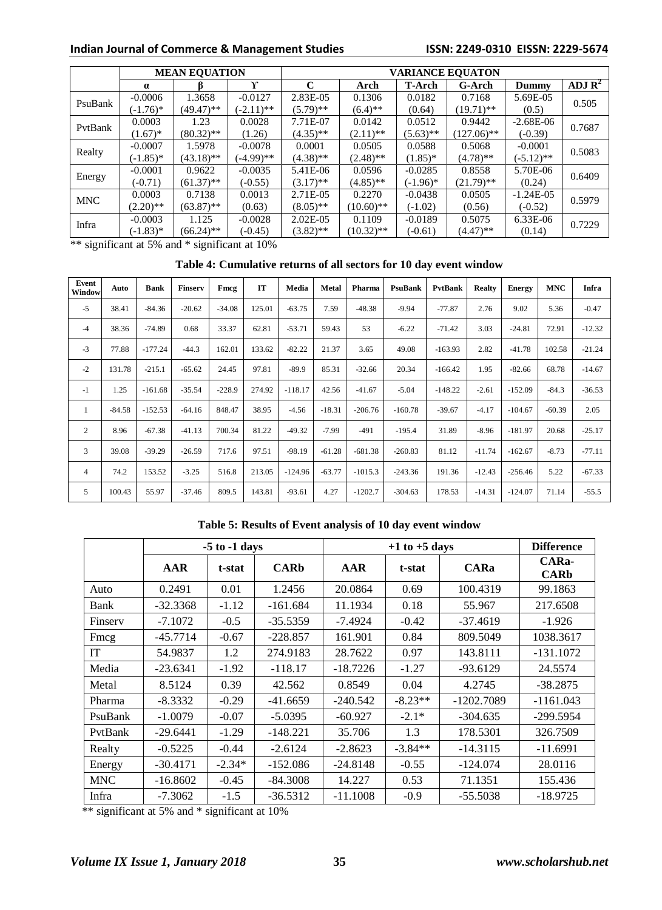# **Indian Journal of Commerce & Management Studies ISSN: 2249-0310 EISSN: 2229-5674**

|                                    | <b>MEAN EQUATION</b>        |              |              |             | <b>VARIANCE EQUATON</b> |               |               |              |                    |  |  |  |
|------------------------------------|-----------------------------|--------------|--------------|-------------|-------------------------|---------------|---------------|--------------|--------------------|--|--|--|
|                                    | $\alpha$                    |              | $\mathbf{v}$ | C           | Arch                    | <b>T-Arch</b> | G-Arch        | Dummy        | ADJ $\mathbb{R}^2$ |  |  |  |
| PsuBank                            | $-0.0006$                   | 1.3658       | $-0.0127$    | 2.83E-05    | 0.1306                  | 0.0182        | 0.7168        | 5.69E-05     | 0.505              |  |  |  |
|                                    | $(-1.76)^*$                 | (49.47)**    | $(-2.11)$ ** | $(5.79)$ ** | $(6.4)$ **              | (0.64)        | $(19.71)$ **  | (0.5)        |                    |  |  |  |
| PvtBank                            | 0.0003                      | 1.23         | 0.0028       | 7.71E-07    | 0.0142                  | 0.0512        | 0.9442        | $-2.68E-06$  | 0.7687             |  |  |  |
|                                    | $(1.67)^*$                  | $(80.32)$ ** | (1.26)       | $(4.35)$ ** | $(2.11)$ **             | $(5.63)$ **   | $(127.06)$ ** | $(-0.39)$    |                    |  |  |  |
| Realty                             | $-0.0007$                   | 1.5978       | $-0.0078$    | 0.0001      | 0.0505                  | 0.0588        | 0.5068        | $-0.0001$    | 0.5083             |  |  |  |
|                                    | $(-1.85)$ *                 | $(43.18)$ ** | (-4.99)**    | $(4.38)$ ** | $(2.48)$ **             | $(1.85)^*$    | $(4.78)$ **   | $(-5.12)$ ** |                    |  |  |  |
|                                    | $-0.0001$                   | 0.9622       | $-0.0035$    | 5.41E-06    | 0.0596                  | $-0.0285$     | 0.8558        | 5.70E-06     | 0.6409             |  |  |  |
| Energy                             | $(-0.71)$                   | $(61.37)$ ** | $(-0.55)$    | $(3.17)$ ** | $(4.85)$ **             | $(-1.96)^*$   | $(21.79)$ **  | (0.24)       |                    |  |  |  |
| <b>MNC</b>                         | 0.0003                      | 0.7138       | 0.0013       | 2.71E-05    | 0.2270                  | $-0.0438$     | 0.0505        | $-1.24E-05$  | 0.5979             |  |  |  |
|                                    | $(2.20)$ **                 | $(63.87)$ ** | (0.63)       | $(8.05)$ ** | $(10.60)$ **            | $(-1.02)$     | (0.56)        | $(-0.52)$    |                    |  |  |  |
| Infra                              | $-0.0003$                   | 1.125        | $-0.0028$    | $2.02E-05$  | 0.1109                  | $-0.0189$     | 0.5075        | 6.33E-06     | 0.7229             |  |  |  |
|                                    | $(-1.83)*$                  | $(66.24)$ ** | $(-0.45)$    | $(3.82)$ ** | $(10.32)$ **            | $(-0.61)$     | $(4.47)$ **   | (0.14)       |                    |  |  |  |
| $-1.111$ $+1.11$<br>$\cdot$ $\sim$ | $\sim$ $\sim$ $\sim$ $\sim$ |              |              |             |                         |               |               |              |                    |  |  |  |

\*\* significant at 5% and \* significant at 10%

# **Table 4: Cumulative returns of all sectors for 10 day event window**

| Event<br>Window | Auto     | <b>Bank</b> | Finserv  | Fmcg     | IT     | Media     | <b>Metal</b> | Pharma    | PsuBank   | PvtBank   | <b>Realty</b> | <b>Energy</b> | <b>MNC</b> | Infra    |
|-----------------|----------|-------------|----------|----------|--------|-----------|--------------|-----------|-----------|-----------|---------------|---------------|------------|----------|
| $-5$            | 38.41    | $-84.36$    | $-20.62$ | $-34.08$ | 125.01 | $-63.75$  | 7.59         | $-48.38$  | $-9.94$   | $-77.87$  | 2.76          | 9.02          | 5.36       | $-0.47$  |
| $-4$            | 38.36    | $-74.89$    | 0.68     | 33.37    | 62.81  | $-53.71$  | 59.43        | 53        | $-6.22$   | $-71.42$  | 3.03          | $-24.81$      | 72.91      | $-12.32$ |
| $-3$            | 77.88    | $-177.24$   | $-44.3$  | 162.01   | 133.62 | $-82.22$  | 21.37        | 3.65      | 49.08     | $-163.93$ | 2.82          | $-41.78$      | 102.58     | $-21.24$ |
| $-2$            | 131.78   | $-215.1$    | $-65.62$ | 24.45    | 97.81  | $-89.9$   | 85.31        | $-32.66$  | 20.34     | $-166.42$ | 1.95          | $-82.66$      | 68.78      | $-14.67$ |
| $-1$            | 1.25     | $-161.68$   | $-35.54$ | $-228.9$ | 274.92 | $-118.17$ | 42.56        | $-41.67$  | $-5.04$   | $-148.22$ | $-2.61$       | $-152.09$     | $-84.3$    | $-36.53$ |
| 1               | $-84.58$ | $-152.53$   | $-64.16$ | 848.47   | 38.95  | $-4.56$   | $-18.31$     | $-206.76$ | $-160.78$ | $-39.67$  | $-4.17$       | $-104.67$     | $-60.39$   | 2.05     |
| 2               | 8.96     | $-67.38$    | $-41.13$ | 700.34   | 81.22  | $-49.32$  | $-7.99$      | $-491$    | $-195.4$  | 31.89     | $-8.96$       | $-181.97$     | 20.68      | $-25.17$ |
| 3               | 39.08    | $-39.29$    | $-26.59$ | 717.6    | 97.51  | $-98.19$  | $-61.28$     | $-681.38$ | $-260.83$ | 81.12     | $-11.74$      | $-162.67$     | $-8.73$    | $-77.11$ |
| 4               | 74.2     | 153.52      | $-3.25$  | 516.8    | 213.05 | $-124.96$ | $-63.77$     | $-1015.3$ | $-243.36$ | 191.36    | $-12.43$      | $-256.46$     | 5.22       | $-67.33$ |
| 5               | 100.43   | 55.97       | $-37.46$ | 809.5    | 143.81 | $-93.61$  | 4.27         | $-1202.7$ | $-304.63$ | 178.53    | $-14.31$      | $-124.07$     | 71.14      | $-55.5$  |

### **Table 5: Results of Event analysis of 10 day event window**

|            |            | $-5$ to $-1$ days |             |            | $+1$ to $+5$ days |              |                      |  |  |  |
|------------|------------|-------------------|-------------|------------|-------------------|--------------|----------------------|--|--|--|
|            | AAR        | t-stat            | <b>CARb</b> | AAR        | t-stat            | <b>CARa</b>  | CARa-<br><b>CARb</b> |  |  |  |
| Auto       | 0.2491     | 0.01              | 1.2456      | 20.0864    | 0.69              | 100.4319     | 99.1863              |  |  |  |
| Bank       | $-32.3368$ | $-1.12$           | $-161.684$  | 11.1934    | 0.18              | 55.967       | 217.6508             |  |  |  |
| Finsery    | $-7.1072$  | $-0.5$            | $-35.5359$  | $-7.4924$  | $-0.42$           | $-37.4619$   | $-1.926$             |  |  |  |
| Fmcg       | $-45.7714$ | $-0.67$           | $-228.857$  | 161.901    | 0.84              | 809.5049     | 1038.3617            |  |  |  |
| <b>IT</b>  | 54.9837    | 1.2               | 274.9183    | 28.7622    | 0.97              | 143.8111     | $-131.1072$          |  |  |  |
| Media      | $-23.6341$ | $-1.92$           | $-118.17$   | $-18.7226$ | $-1.27$           | $-93.6129$   | 24.5574              |  |  |  |
| Metal      | 8.5124     | 0.39              | 42.562      | 0.8549     | 0.04              | 4.2745       | $-38.2875$           |  |  |  |
| Pharma     | $-8.3332$  | $-0.29$           | $-41.6659$  | $-240.542$ | $-8.23**$         | $-1202.7089$ | $-1161.043$          |  |  |  |
| PsuBank    | $-1.0079$  | $-0.07$           | $-5.0395$   | $-60.927$  | $-2.1*$           | $-304.635$   | $-299.5954$          |  |  |  |
| PvtBank    | $-29.6441$ | $-1.29$           | $-148.221$  | 35.706     | 1.3               | 178.5301     | 326.7509             |  |  |  |
| Realty     | $-0.5225$  | $-0.44$           | $-2.6124$   | $-2.8623$  | $-3.84**$         | $-14.3115$   | $-11.6991$           |  |  |  |
| Energy     | $-30.4171$ | $-2.34*$          | $-152.086$  | $-24.8148$ | $-0.55$           | $-124.074$   | 28.0116              |  |  |  |
| <b>MNC</b> | $-16.8602$ | $-0.45$           | $-84.3008$  | 14.227     | 0.53              | 71.1351      | 155.436              |  |  |  |
| Infra      | $-7.3062$  | $-1.5$            | $-36.5312$  | $-11.1008$ | $-0.9$            | $-55.5038$   | $-18.9725$           |  |  |  |

\*\* significant at 5% and \* significant at 10%